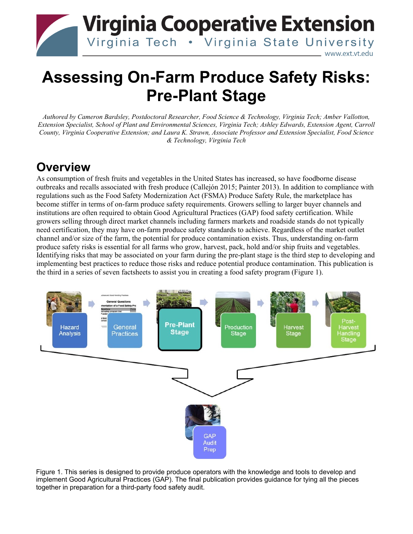

# **Assessing On-Farm Produce Safety Risks: Pre-Plant Stage**

*Authored by Cameron Bardsley, Postdoctoral Researcher, Food Science & Technology, Virginia Tech; Amber Vallotton, Extension Specialist, School of Plant and Environmental Sciences, Virginia Tech; Ashley Edwards, Extension Agent, Carroll County, Virginia Cooperative Extension; and Laura K. Strawn, Associate Professor and Extension Specialist, Food Science & Technology, Virginia Tech*

# **Overview**

As consumption of fresh fruits and vegetables in the United States has increased, so have foodborne disease outbreaks and recalls associated with fresh produce (Callejón 2015; Painter 2013). In addition to compliance with regulations such as the Food Safety Modernization Act (FSMA) Produce Safety Rule, the marketplace has become stiffer in terms of on-farm produce safety requirements. Growers selling to larger buyer channels and institutions are often required to obtain Good Agricultural Practices (GAP) food safety certification. While growers selling through direct market channels including farmers markets and roadside stands do not typically need certification, they may have on-farm produce safety standards to achieve. Regardless of the market outlet channel and/or size of the farm, the potential for produce contamination exists. Thus, understanding on-farm produce safety risks is essential for all farms who grow, harvest, pack, hold and/or ship fruits and vegetables. Identifying risks that may be associated on your farm during the pre-plant stage is the third step to developing and implementing best practices to reduce those risks and reduce potential produce contamination. This publication is the third in a series of seven factsheets to assist you in creating a food safety program (Figure 1).



Figure 1. This series is designed to provide produce operators with the knowledge and tools to develop and implement Good Agricultural Practices (GAP). The final publication provides guidance for tying all the pieces together in preparation for a third-party food safety audit.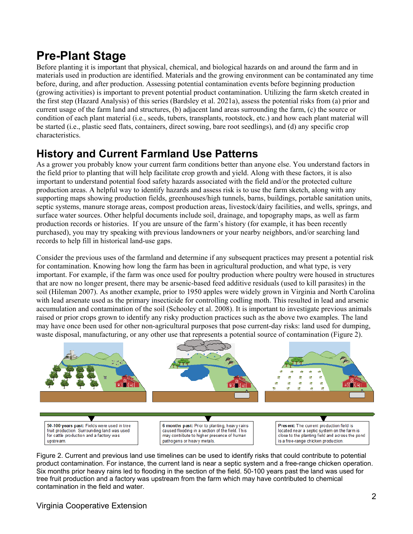# **Pre-Plant Stage**

Before planting it is important that physical, chemical, and biological hazards on and around the farm and in materials used in production are identified. Materials and the growing environment can be contaminated any time before, during, and after production. Assessing potential contamination events before beginning production (growing activities) is important to prevent potential product contamination. Utilizing the farm sketch created in the first step (Hazard Analysis) of this series (Bardsley et al. 2021a), assess the potential risks from (a) prior and current usage of the farm land and structures, (b) adjacent land areas surrounding the farm, (c) the source or condition of each plant material (i.e., seeds, tubers, transplants, rootstock, etc.) and how each plant material will be started (i.e., plastic seed flats, containers, direct sowing, bare root seedlings), and (d) any specific crop characteristics.

# **History and Current Farmland Use Patterns**

As a grower you probably know your current farm conditions better than anyone else. You understand factors in the field prior to planting that will help facilitate crop growth and yield. Along with these factors, it is also important to understand potential food safety hazards associated with the field and/or the protected culture production areas. A helpful way to identify hazards and assess risk is to use the farm sketch, along with any supporting maps showing production fields, greenhouses/high tunnels, barns, buildings, portable sanitation units, septic systems, manure storage areas, compost production areas, livestock/dairy facilities, and wells, springs, and surface water sources. Other helpful documents include soil, drainage, and topography maps, as well as farm production records or histories. If you are unsure of the farm's history (for example, it has been recently purchased), you may try speaking with previous landowners or your nearby neighbors, and/or searching land records to help fill in historical land-use gaps.

Consider the previous uses of the farmland and determine if any subsequent practices may present a potential risk for contamination. Knowing how long the farm has been in agricultural production, and what type, is very important. For example, if the farm was once used for poultry production where poultry were housed in structures that are now no longer present, there may be arsenic-based feed additive residuals (used to kill parasites) in the soil (Hileman 2007). As another example, prior to 1950 apples were widely grown in Virginia and North Carolina with lead arsenate used as the primary insecticide for controlling codling moth. This resulted in lead and arsenic accumulation and contamination of the soil (Schooley et al. 2008). It is important to investigate previous animals raised or prior crops grown to identify any risky production practices such as the above two examples. The land may have once been used for other non-agricultural purposes that pose current-day risks: land used for dumping, waste disposal, manufacturing, or any other use that represents a potential source of contamination (Figure 2).



Figure 2. Current and previous land use timelines can be used to identify risks that could contribute to potential product contamination. For instance, the current land is near a septic system and a free-range chicken operation. Six months prior heavy rains led to flooding in the section of the field. 50-100 years past the land was used for tree fruit production and a factory was upstream from the farm which may have contributed to chemical contamination in the field and water.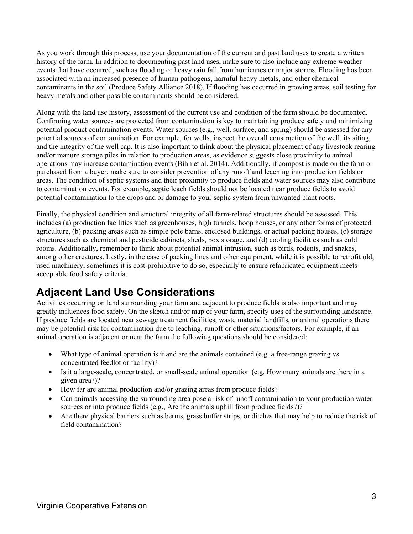As you work through this process, use your documentation of the current and past land uses to create a written history of the farm. In addition to documenting past land uses, make sure to also include any extreme weather events that have occurred, such as flooding or heavy rain fall from hurricanes or major storms. Flooding has been associated with an increased presence of human pathogens, harmful heavy metals, and other chemical contaminants in the soil (Produce Safety Alliance 2018). If flooding has occurred in growing areas, soil testing for heavy metals and other possible contaminants should be considered.

Along with the land use history, assessment of the current use and condition of the farm should be documented. Confirming water sources are protected from contamination is key to maintaining produce safety and minimizing potential product contamination events. Water sources (e.g., well, surface, and spring) should be assessed for any potential sources of contamination. For example, for wells, inspect the overall construction of the well, its siting, and the integrity of the well cap. It is also important to think about the physical placement of any livestock rearing and/or manure storage piles in relation to production areas, as evidence suggests close proximity to animal operations may increase contamination events (Bihn et al. 2014). Additionally, if compost is made on the farm or purchased from a buyer, make sure to consider prevention of any runoff and leaching into production fields or areas. The condition of septic systems and their proximity to produce fields and water sources may also contribute to contamination events. For example, septic leach fields should not be located near produce fields to avoid potential contamination to the crops and or damage to your septic system from unwanted plant roots.

Finally, the physical condition and structural integrity of all farm-related structures should be assessed. This includes (a) production facilities such as greenhouses, high tunnels, hoop houses, or any other forms of protected agriculture, (b) packing areas such as simple pole barns, enclosed buildings, or actual packing houses, (c) storage structures such as chemical and pesticide cabinets, sheds, box storage, and (d) cooling facilities such as cold rooms. Additionally, remember to think about potential animal intrusion, such as birds, rodents, and snakes, among other creatures. Lastly, in the case of packing lines and other equipment, while it is possible to retrofit old, used machinery, sometimes it is cost-prohibitive to do so, especially to ensure refabricated equipment meets acceptable food safety criteria.

#### **Adjacent Land Use Considerations**

Activities occurring on land surrounding your farm and adjacent to produce fields is also important and may greatly influences food safety. On the sketch and/or map of your farm, specify uses of the surrounding landscape. If produce fields are located near sewage treatment facilities, waste material landfills, or animal operations there may be potential risk for contamination due to leaching, runoff or other situations/factors. For example, if an animal operation is adjacent or near the farm the following questions should be considered:

- What type of animal operation is it and are the animals contained (e.g. a free-range grazing vs concentrated feedlot or facility)?
- Is it a large-scale, concentrated, or small-scale animal operation (e.g. How many animals are there in a given area?)?
- How far are animal production and/or grazing areas from produce fields?
- Can animals accessing the surrounding area pose a risk of runoff contamination to your production water sources or into produce fields (e.g., Are the animals uphill from produce fields?)?
- Are there physical barriers such as berms, grass buffer strips, or ditches that may help to reduce the risk of field contamination?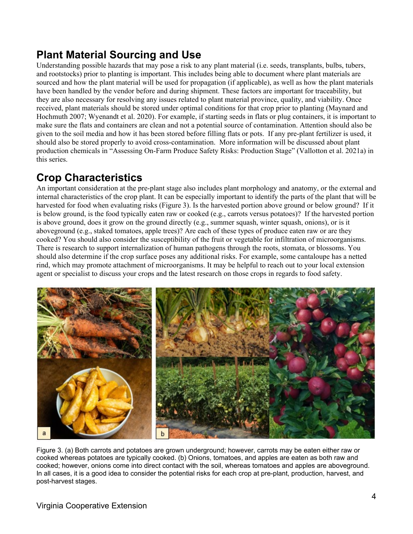### **Plant Material Sourcing and Use**

Understanding possible hazards that may pose a risk to any plant material (i.e. seeds, transplants, bulbs, tubers, and rootstocks) prior to planting is important. This includes being able to document where plant materials are sourced and how the plant material will be used for propagation (if applicable), as well as how the plant materials have been handled by the vendor before and during shipment. These factors are important for traceability, but they are also necessary for resolving any issues related to plant material province, quality, and viability. Once received, plant materials should be stored under optimal conditions for that crop prior to planting (Maynard and Hochmuth 2007; Wyenandt et al. 2020). For example, if starting seeds in flats or plug containers, it is important to make sure the flats and containers are clean and not a potential source of contamination. Attention should also be given to the soil media and how it has been stored before filling flats or pots. If any pre-plant fertilizer is used, it should also be stored properly to avoid cross-contamination. More information will be discussed about plant production chemicals in "Assessing On-Farm Produce Safety Risks: Production Stage" (Vallotton et al. 2021a) in this series.

#### **Crop Characteristics**

An important consideration at the pre-plant stage also includes plant morphology and anatomy, or the external and internal characteristics of the crop plant. It can be especially important to identify the parts of the plant that will be harvested for food when evaluating risks (Figure 3). Is the harvested portion above ground or below ground? If it is below ground, is the food typically eaten raw or cooked (e.g., carrots versus potatoes)? If the harvested portion is above ground, does it grow on the ground directly (e.g., summer squash, winter squash, onions), or is it aboveground (e.g., staked tomatoes, apple trees)? Are each of these types of produce eaten raw or are they cooked? You should also consider the susceptibility of the fruit or vegetable for infiltration of microorganisms. There is research to support internalization of human pathogens through the roots, stomata, or blossoms. You should also determine if the crop surface poses any additional risks. For example, some cantaloupe has a netted rind, which may promote attachment of microorganisms. It may be helpful to reach out to your local extension agent or specialist to discuss your crops and the latest research on those crops in regards to food safety.



Figure 3. (a) Both carrots and potatoes are grown underground; however, carrots may be eaten either raw or cooked whereas potatoes are typically cooked. (b) Onions, tomatoes, and apples are eaten as both raw and cooked; however, onions come into direct contact with the soil, whereas tomatoes and apples are aboveground. In all cases, it is a good idea to consider the potential risks for each crop at pre-plant, production, harvest, and post-harvest stages.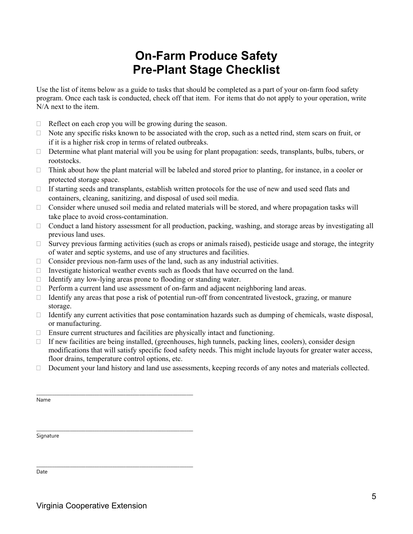# **On-Farm Produce Safety Pre-Plant Stage Checklist**

Use the list of items below as a guide to tasks that should be completed as a part of your on-farm food safety program. Once each task is conducted, check off that item. For items that do not apply to your operation, write N/A next to the item.

- $\Box$  Reflect on each crop you will be growing during the season.
- $\Box$  Note any specific risks known to be associated with the crop, such as a netted rind, stem scars on fruit, or if it is a higher risk crop in terms of related outbreaks.
- Determine what plant material will you be using for plant propagation: seeds, transplants, bulbs, tubers, or rootstocks.
- $\Box$  Think about how the plant material will be labeled and stored prior to planting, for instance, in a cooler or protected storage space.
- $\Box$  If starting seeds and transplants, establish written protocols for the use of new and used seed flats and containers, cleaning, sanitizing, and disposal of used soil media.
- □ Consider where unused soil media and related materials will be stored, and where propagation tasks will take place to avoid cross-contamination.
- □ Conduct a land history assessment for all production, packing, washing, and storage areas by investigating all previous land uses.
- $\Box$  Survey previous farming activities (such as crops or animals raised), pesticide usage and storage, the integrity of water and septic systems, and use of any structures and facilities.
- $\Box$  Consider previous non-farm uses of the land, such as any industrial activities.
- Investigate historical weather events such as floods that have occurred on the land.
- $\Box$  Identify any low-lying areas prone to flooding or standing water.
- $\Box$  Perform a current land use assessment of on-farm and adjacent neighboring land areas.
- $\Box$  Identify any areas that pose a risk of potential run-off from concentrated livestock, grazing, or manure storage.
- $\Box$  Identify any current activities that pose contamination hazards such as dumping of chemicals, waste disposal, or manufacturing.
- $\Box$  Ensure current structures and facilities are physically intact and functioning.
- $\Box$  If new facilities are being installed, (greenhouses, high tunnels, packing lines, coolers), consider design modifications that will satisfy specific food safety needs. This might include layouts for greater water access, floor drains, temperature control options, etc.
- $\Box$  Document your land history and land use assessments, keeping records of any notes and materials collected.

Name

Signature

Date

\_\_\_\_\_\_\_\_\_\_\_\_\_\_\_\_\_\_\_\_\_\_\_\_\_\_\_\_\_\_\_\_\_\_\_\_\_\_\_\_\_\_\_\_\_\_\_\_\_\_\_\_\_\_\_\_\_\_\_\_\_\_\_\_\_\_\_\_\_\_

\_\_\_\_\_\_\_\_\_\_\_\_\_\_\_\_\_\_\_\_\_\_\_\_\_\_\_\_\_\_\_\_\_\_\_\_\_\_\_\_\_\_\_\_\_\_\_\_\_\_\_\_\_\_\_\_\_\_\_\_\_\_\_\_\_\_\_\_\_\_

\_\_\_\_\_\_\_\_\_\_\_\_\_\_\_\_\_\_\_\_\_\_\_\_\_\_\_\_\_\_\_\_\_\_\_\_\_\_\_\_\_\_\_\_\_\_\_\_\_\_\_\_\_\_\_\_\_\_\_\_\_\_\_\_\_\_\_\_\_\_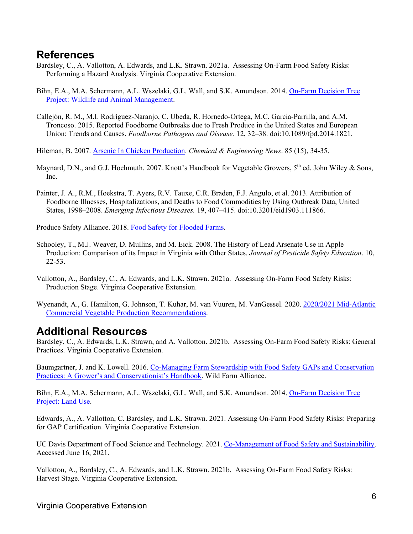#### **References**

- Bardsley, C., A. Vallotton, A. Edwards, and L.K. Strawn. 2021a. Assessing On-Farm Food Safety Risks: Performing a Hazard Analysis. Virginia Cooperative Extension.
- Bihn, E.A., M.A. Schermann, A.L. Wszelaki, G.L. Wall, and S.K. Amundson. 2014. [On-Farm Decision Tree](https://gaps.cornell.edu/educational-materials/decision-trees/wildlife-and-animal-management/) Project: [Wildlife and Animal Management.](https://gaps.cornell.edu/educational-materials/decision-trees/wildlife-and-animal-management/)
- Callejón, R. M., M.I. Rodríguez-Naranjo, C. Ubeda, R. Hornedo-Ortega, M.C. Garcia-Parrilla, and A.M. Troncoso. 2015. Reported Foodborne Outbreaks due to Fresh Produce in the United States and European Union: Trends and Causes. *Foodborne Pathogens and Disease.* 12, 32–38. doi:10.1089/fpd.2014.1821.
- Hileman, B. 2007. [Arsenic In Chicken Production.](http://pubsapp.acs.org/cen/government/85/8515gov2.html) *Chemical & Engineering News*. 85 (15), 34-35.
- Maynard, D.N., and G.J. Hochmuth. 2007. Knott's Handbook for Vegetable Growers, 5<sup>th</sup> ed. John Wiley & Sons, Inc.
- Painter, J. A., R.M., Hoekstra, T. Ayers, R.V. Tauxe, C.R. Braden, F.J. Angulo, et al. 2013. Attribution of Foodborne Illnesses, Hospitalizations, and Deaths to Food Commodities by Using Outbreak Data, United States, 1998–2008. *Emerging Infectious Diseases.* 19, 407–415. doi:10.3201/eid1903.111866.

Produce Safety Alliance. 2018. [Food Safety for Flooded Farms.](https://producesafetyalliance.cornell.edu/sites/producesafetyalliance.cornell.edu/files/shared/Food%20Safety%20for%20Flooded%20Farms.pdf)

- Schooley, T., M.J. Weaver, D. Mullins, and M. Eick. 2008. The History of Lead Arsenate Use in Apple Production: Comparison of its Impact in Virginia with Other States. *Journal of Pesticide Safety Education*. 10, 22-53.
- Vallotton, A., Bardsley, C., A. Edwards, and L.K. Strawn. 2021a. Assessing On-Farm Food Safety Risks: Production Stage. Virginia Cooperative Extension.
- Wyenandt, A., G. Hamilton, G. Johnson, T. Kuhar, M. van Vuuren, M. VanGessel. 2020. [2020/2021 Mid-Atlantic](https://www.pubs.ext.vt.edu/456/456-420/456-420.html)  [Commercial Vegetable Production Recommendations.](https://www.pubs.ext.vt.edu/456/456-420/456-420.html)

#### **Additional Resources**

Bardsley, C., A. Edwards, L.K. Strawn, and A. Vallotton. 2021b. Assessing On-Farm Food Safety Risks: General Practices. Virginia Cooperative Extension.

Baumgartner, J. and K. Lowell. 2016. [Co-Managing Farm Stewardship with Food Safety GAPs and Conservation](https://d3n8a8pro7vhmx.cloudfront.net/wildfarmalliance/pages/131/attachments/original/1455409115/WFA_Co-Managing_Farm_Stewardship.pdf?1455409115)  [Practices: A Grower's and Conservationist's Handbook.](https://d3n8a8pro7vhmx.cloudfront.net/wildfarmalliance/pages/131/attachments/original/1455409115/WFA_Co-Managing_Farm_Stewardship.pdf?1455409115) Wild Farm Alliance.

Bihn, E.A., M.A. Schermann, A.L. Wszelaki, G.L. Wall, and S.K. Amundson. 2014. [On-Farm Decision Tree](https://gaps.cornell.edu/educational-materials/decision-trees/land-use)  [Project: Land Use.](https://gaps.cornell.edu/educational-materials/decision-trees/land-use)

Edwards, A., A. Vallotton, C. Bardsley, and L.K. Strawn. 2021. Assessing On-Farm Food Safety Risks: Preparing for GAP Certification. Virginia Cooperative Extension.

UC Davis Department of Food Science and Technology. 2021. [Co-Management of Food Safety and Sustainability.](http://ucfoodsafety.ucdavis.edu/Pre-_-_Post-harvest_Produce/Preharvest/Co-management_of_Food_Safety_and_Sustainability/) Accessed June 16, 2021.

Vallotton, A., Bardsley, C., A. Edwards, and L.K. Strawn. 2021b. Assessing On-Farm Food Safety Risks: Harvest Stage. Virginia Cooperative Extension.